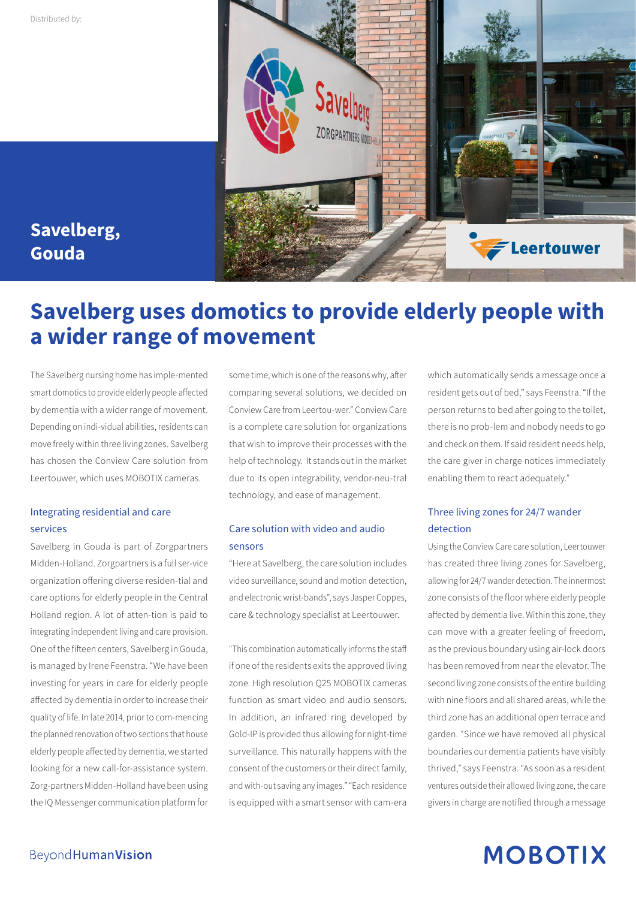

### **Savelberg, Gouda**

### **Savelberg uses domotics to provide elderly people with a wider range of movement**

The Savelberg nursing home has imple-mented smart domotics to provide elderly people affected by dementia with a wider range of movement. Depending on indi-vidual abilities, residents can move freely within three living zones. Savelberg has chosen the Conview Care solution from Leertouwer, which uses MOBOTIX cameras.

#### Integrating residential and care services

Savelberg in Gouda is part of Zorgpartners Midden-Holland. Zorgpartners is a full ser-vice organization offering diverse residen-tial and care options for elderly people in the Central Holland region. A lot of atten-tion is paid to integrating independent living and care provision. One of the fifteen centers, Savelberg in Gouda, is managed by Irene Feenstra. "We have been investing for years in care for elderly people affected by dementia in order to increase their quality of life. In late 2014, prior to com-mencing the planned renovation of two sections that house elderly people affected by dementia, we started looking for a new call-for-assistance system. Zorg-partners Midden-Holland have been using the IQ Messenger communication platform for

some time, which is one of the reasons why, after comparing several solutions, we decided on Conview Care from Leertou-wer." Conview Care is a complete care solution for organizations that wish to improve their processes with the help of technology. It stands out in the market due to its open integrability, vendor-neu-tral technology, and ease of management.

#### Care solution with video and audio sensors

"Here at Savelberg, the care solution includes video surveillance, sound and motion detection, and electronic wrist-bands", says Jasper Coppes, care & technology specialist at Leertouwer.

"This combination automatically informs the staff if one of the residents exits the approved living zone. High resolution Q25 MOBOTIX cameras function as smart video and audio sensors. In addition, an infrared ring developed by Gold-IP is provided thus allowing for night-time surveillance. This naturally happens with the consent of the customers or their direct family, and with-out saving any images." "Each residence is equipped with a smart sensor with cam-era

which automatically sends a message once a resident gets out of bed," says Feenstra. "If the person returns to bed after going to the toilet, there is no prob-lem and nobody needs to go and check on them. If said resident needs help, the care giver in charge notices immediately enabling them to react adequately."

#### Three living zones for 24/7 wander detection

Using the Conview Care care solution, Leertouwer has created three living zones for Savelberg, allowing for 24/7 wander detection. The innermost zone consists of the floor where elderly people affected by dementia live. Within this zone, they can move with a greater feeling of freedom, as the previous boundary using air-lock doors has been removed from near the elevator. The second living zone consists of the entire building with nine floors and all shared areas, while the third zone has an additional open terrace and garden. "Since we have removed all physical boundaries our dementia patients have visibly thrived," says Feenstra. "As soon as a resident ventures outside their allowed living zone, the care givers in charge are notified through a message

# **MOBOTIX**

#### Beyond Human Vision